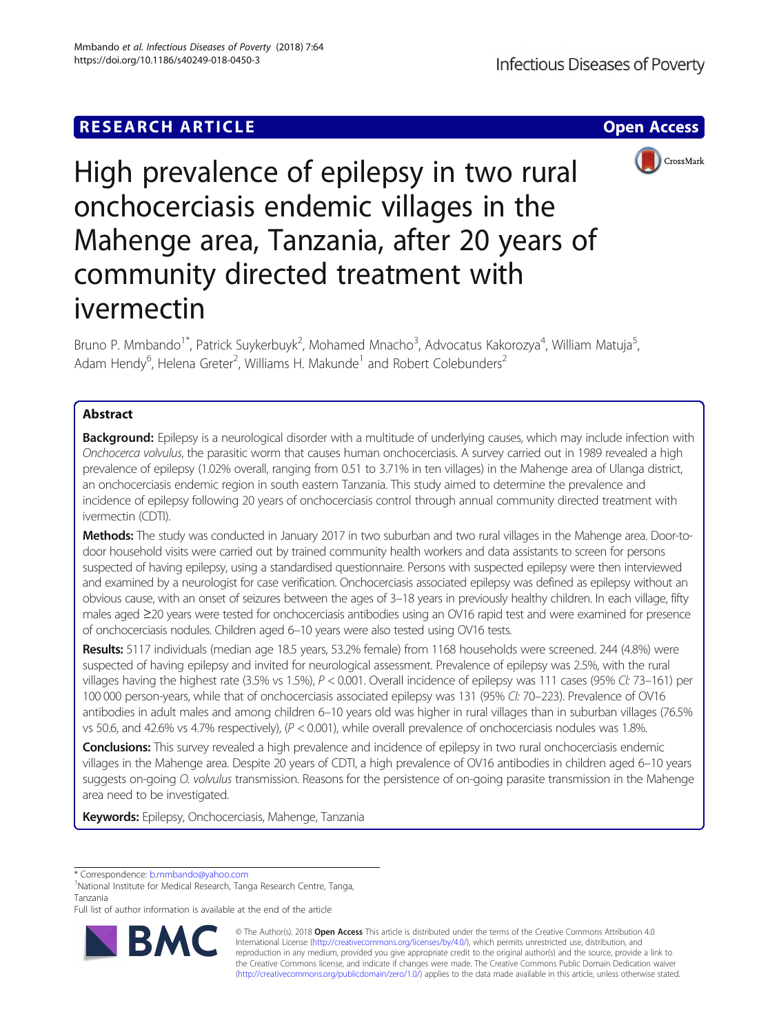# **RESEARCH ARTICLE Example 2014 12:30 The Contract of Contract ACCESS**



High prevalence of epilepsy in two rural onchocerciasis endemic villages in the Mahenge area, Tanzania, after 20 years of community directed treatment with ivermectin

Bruno P. Mmbando<sup>1\*</sup>, Patrick Suykerbuyk<sup>2</sup>, Mohamed Mnacho<sup>3</sup>, Advocatus Kakorozya<sup>4</sup>, William Matuja<sup>5</sup> , Adam Hendy<sup>6</sup>, Helena Greter<sup>2</sup>, Williams H. Makunde<sup>1</sup> and Robert Colebunders<sup>2</sup>

# Abstract

Background: Epilepsy is a neurological disorder with a multitude of underlying causes, which may include infection with Onchocerca volvulus, the parasitic worm that causes human onchocerciasis. A survey carried out in 1989 revealed a high prevalence of epilepsy (1.02% overall, ranging from 0.51 to 3.71% in ten villages) in the Mahenge area of Ulanga district, an onchocerciasis endemic region in south eastern Tanzania. This study aimed to determine the prevalence and incidence of epilepsy following 20 years of onchocerciasis control through annual community directed treatment with ivermectin (CDTI).

Methods: The study was conducted in January 2017 in two suburban and two rural villages in the Mahenge area. Door-todoor household visits were carried out by trained community health workers and data assistants to screen for persons suspected of having epilepsy, using a standardised questionnaire. Persons with suspected epilepsy were then interviewed and examined by a neurologist for case verification. Onchocerciasis associated epilepsy was defined as epilepsy without an obvious cause, with an onset of seizures between the ages of 3–18 years in previously healthy children. In each village, fifty males aged ≥20 years were tested for onchocerciasis antibodies using an OV16 rapid test and were examined for presence of onchocerciasis nodules. Children aged 6–10 years were also tested using OV16 tests.

Results: 5117 individuals (median age 18.5 years, 53.2% female) from 1168 households were screened. 244 (4.8%) were suspected of having epilepsy and invited for neurological assessment. Prevalence of epilepsy was 2.5%, with the rural villages having the highest rate (3.5% vs 1.5%), P < 0.001. Overall incidence of epilepsy was 111 cases (95% CI: 73-161) per 100 000 person-years, while that of onchocerciasis associated epilepsy was 131 (95% CI: 70–223). Prevalence of OV16 antibodies in adult males and among children 6–10 years old was higher in rural villages than in suburban villages (76.5% vs 50.6, and 42.6% vs 4.7% respectively), (P < 0.001), while overall prevalence of onchocerciasis nodules was 1.8%.

Conclusions: This survey revealed a high prevalence and incidence of epilepsy in two rural onchocerciasis endemic villages in the Mahenge area. Despite 20 years of CDTI, a high prevalence of OV16 antibodies in children aged 6–10 years suggests on-going O. volvulus transmission. Reasons for the persistence of on-going parasite transmission in the Mahenge area need to be investigated.

Keywords: Epilepsy, Onchocerciasis, Mahenge, Tanzania

\* Correspondence: [b.mmbando@yahoo.com](mailto:b.mmbando@yahoo.com) <sup>1</sup>

<sup>1</sup>National Institute for Medical Research, Tanga Research Centre, Tanga, Tanzania

Full list of author information is available at the end of the article



© The Author(s). 2018 Open Access This article is distributed under the terms of the Creative Commons Attribution 4.0 International License [\(http://creativecommons.org/licenses/by/4.0/](http://creativecommons.org/licenses/by/4.0/)), which permits unrestricted use, distribution, and reproduction in any medium, provided you give appropriate credit to the original author(s) and the source, provide a link to the Creative Commons license, and indicate if changes were made. The Creative Commons Public Domain Dedication waiver [\(http://creativecommons.org/publicdomain/zero/1.0/](http://creativecommons.org/publicdomain/zero/1.0/)) applies to the data made available in this article, unless otherwise stated.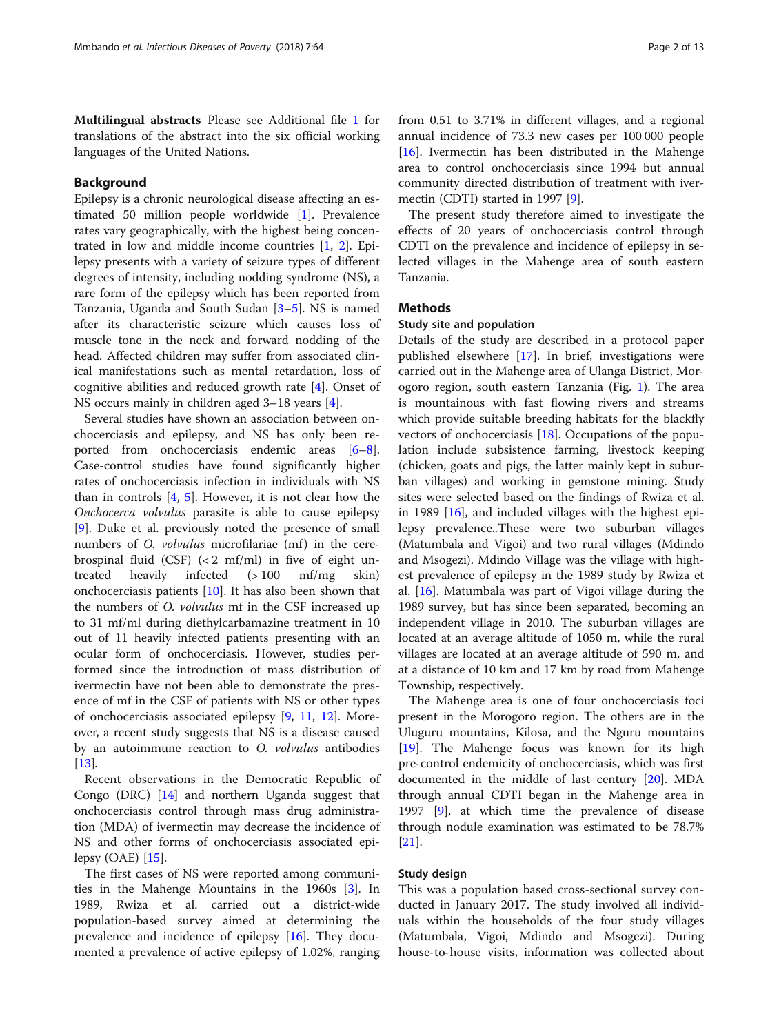Multilingual abstracts Please see Additional file [1](#page-10-0) for translations of the abstract into the six official working languages of the United Nations.

# Background

Epilepsy is a chronic neurological disease affecting an estimated 50 million people worldwide [\[1](#page-11-0)]. Prevalence rates vary geographically, with the highest being concentrated in low and middle income countries [[1,](#page-11-0) [2](#page-11-0)]. Epilepsy presents with a variety of seizure types of different degrees of intensity, including nodding syndrome (NS), a rare form of the epilepsy which has been reported from Tanzania, Uganda and South Sudan [\[3](#page-11-0)–[5\]](#page-11-0). NS is named after its characteristic seizure which causes loss of muscle tone in the neck and forward nodding of the head. Affected children may suffer from associated clinical manifestations such as mental retardation, loss of cognitive abilities and reduced growth rate [[4\]](#page-11-0). Onset of NS occurs mainly in children aged 3–18 years [[4\]](#page-11-0).

Several studies have shown an association between onchocerciasis and epilepsy, and NS has only been reported from onchocerciasis endemic areas [\[6](#page-11-0)–[8](#page-11-0)]. Case-control studies have found significantly higher rates of onchocerciasis infection in individuals with NS than in controls [\[4](#page-11-0), [5](#page-11-0)]. However, it is not clear how the Onchocerca volvulus parasite is able to cause epilepsy [[9\]](#page-11-0). Duke et al. previously noted the presence of small numbers of *O. volvulus* microfilariae (mf) in the cerebrospinal fluid (CSF)  $\left($  < 2 mf/ml) in five of eight untreated heavily infected (> 100 mf/mg skin) onchocerciasis patients [[10\]](#page-11-0). It has also been shown that the numbers of O. volvulus mf in the CSF increased up to 31 mf/ml during diethylcarbamazine treatment in 10 out of 11 heavily infected patients presenting with an ocular form of onchocerciasis. However, studies performed since the introduction of mass distribution of ivermectin have not been able to demonstrate the presence of mf in the CSF of patients with NS or other types of onchocerciasis associated epilepsy [[9,](#page-11-0) [11,](#page-11-0) [12](#page-11-0)]. Moreover, a recent study suggests that NS is a disease caused by an autoimmune reaction to O. volvulus antibodies [[13\]](#page-11-0).

Recent observations in the Democratic Republic of Congo (DRC) [\[14](#page-11-0)] and northern Uganda suggest that onchocerciasis control through mass drug administration (MDA) of ivermectin may decrease the incidence of NS and other forms of onchocerciasis associated epilepsy (OAE) [[15](#page-11-0)].

The first cases of NS were reported among communities in the Mahenge Mountains in the 1960s [[3\]](#page-11-0). In 1989, Rwiza et al. carried out a district-wide population-based survey aimed at determining the prevalence and incidence of epilepsy [[16](#page-11-0)]. They documented a prevalence of active epilepsy of 1.02%, ranging

from 0.51 to 3.71% in different villages, and a regional annual incidence of 73.3 new cases per 100 000 people [[16\]](#page-11-0). Ivermectin has been distributed in the Mahenge area to control onchocerciasis since 1994 but annual community directed distribution of treatment with ivermectin (CDTI) started in 1997 [\[9](#page-11-0)].

The present study therefore aimed to investigate the effects of 20 years of onchocerciasis control through CDTI on the prevalence and incidence of epilepsy in selected villages in the Mahenge area of south eastern Tanzania.

# **Methods**

# Study site and population

Details of the study are described in a protocol paper published elsewhere [[17\]](#page-11-0). In brief, investigations were carried out in the Mahenge area of Ulanga District, Morogoro region, south eastern Tanzania (Fig. [1](#page-2-0)). The area is mountainous with fast flowing rivers and streams which provide suitable breeding habitats for the blackfly vectors of onchocerciasis [[18\]](#page-11-0). Occupations of the population include subsistence farming, livestock keeping (chicken, goats and pigs, the latter mainly kept in suburban villages) and working in gemstone mining. Study sites were selected based on the findings of Rwiza et al. in 1989 [[16\]](#page-11-0), and included villages with the highest epilepsy prevalence..These were two suburban villages (Matumbala and Vigoi) and two rural villages (Mdindo and Msogezi). Mdindo Village was the village with highest prevalence of epilepsy in the 1989 study by Rwiza et al. [[16\]](#page-11-0). Matumbala was part of Vigoi village during the 1989 survey, but has since been separated, becoming an independent village in 2010. The suburban villages are located at an average altitude of 1050 m, while the rural villages are located at an average altitude of 590 m, and at a distance of 10 km and 17 km by road from Mahenge Township, respectively.

The Mahenge area is one of four onchocerciasis foci present in the Morogoro region. The others are in the Uluguru mountains, Kilosa, and the Nguru mountains [[19\]](#page-11-0). The Mahenge focus was known for its high pre-control endemicity of onchocerciasis, which was first documented in the middle of last century [\[20](#page-11-0)]. MDA through annual CDTI began in the Mahenge area in 1997 [[9\]](#page-11-0), at which time the prevalence of disease through nodule examination was estimated to be 78.7% [[21\]](#page-11-0).

# Study design

This was a population based cross-sectional survey conducted in January 2017. The study involved all individuals within the households of the four study villages (Matumbala, Vigoi, Mdindo and Msogezi). During house-to-house visits, information was collected about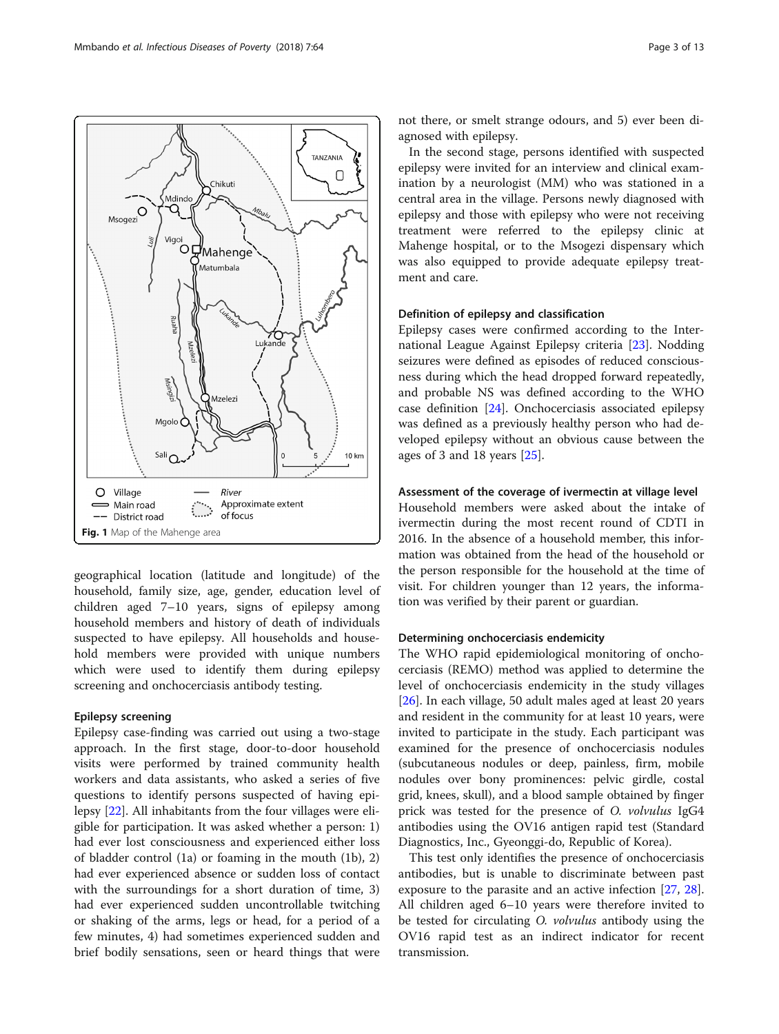<span id="page-2-0"></span>

Chikuti

Mdind

TANZANIA 0

geographical location (latitude and longitude) of the household, family size, age, gender, education level of children aged 7–10 years, signs of epilepsy among household members and history of death of individuals suspected to have epilepsy. All households and household members were provided with unique numbers which were used to identify them during epilepsy screening and onchocerciasis antibody testing.

# Epilepsy screening

Epilepsy case-finding was carried out using a two-stage approach. In the first stage, door-to-door household visits were performed by trained community health workers and data assistants, who asked a series of five questions to identify persons suspected of having epilepsy [\[22\]](#page-11-0). All inhabitants from the four villages were eligible for participation. It was asked whether a person: 1) had ever lost consciousness and experienced either loss of bladder control (1a) or foaming in the mouth (1b), 2) had ever experienced absence or sudden loss of contact with the surroundings for a short duration of time, 3) had ever experienced sudden uncontrollable twitching or shaking of the arms, legs or head, for a period of a few minutes, 4) had sometimes experienced sudden and brief bodily sensations, seen or heard things that were

not there, or smelt strange odours, and 5) ever been diagnosed with epilepsy.

In the second stage, persons identified with suspected epilepsy were invited for an interview and clinical examination by a neurologist (MM) who was stationed in a central area in the village. Persons newly diagnosed with epilepsy and those with epilepsy who were not receiving treatment were referred to the epilepsy clinic at Mahenge hospital, or to the Msogezi dispensary which was also equipped to provide adequate epilepsy treatment and care.

# Definition of epilepsy and classification

Epilepsy cases were confirmed according to the International League Against Epilepsy criteria [[23](#page-11-0)]. Nodding seizures were defined as episodes of reduced consciousness during which the head dropped forward repeatedly, and probable NS was defined according to the WHO case definition [[24](#page-11-0)]. Onchocerciasis associated epilepsy was defined as a previously healthy person who had developed epilepsy without an obvious cause between the ages of 3 and 18 years [\[25](#page-11-0)].

# Assessment of the coverage of ivermectin at village level

Household members were asked about the intake of ivermectin during the most recent round of CDTI in 2016. In the absence of a household member, this information was obtained from the head of the household or the person responsible for the household at the time of visit. For children younger than 12 years, the information was verified by their parent or guardian.

# Determining onchocerciasis endemicity

The WHO rapid epidemiological monitoring of onchocerciasis (REMO) method was applied to determine the level of onchocerciasis endemicity in the study villages [[26\]](#page-11-0). In each village, 50 adult males aged at least 20 years and resident in the community for at least 10 years, were invited to participate in the study. Each participant was examined for the presence of onchocerciasis nodules (subcutaneous nodules or deep, painless, firm, mobile nodules over bony prominences: pelvic girdle, costal grid, knees, skull), and a blood sample obtained by finger prick was tested for the presence of O. volvulus IgG4 antibodies using the OV16 antigen rapid test (Standard Diagnostics, Inc., Gyeonggi-do, Republic of Korea).

This test only identifies the presence of onchocerciasis antibodies, but is unable to discriminate between past exposure to the parasite and an active infection [\[27](#page-11-0), [28](#page-11-0)]. All children aged 6–10 years were therefore invited to be tested for circulating O. volvulus antibody using the OV16 rapid test as an indirect indicator for recent transmission.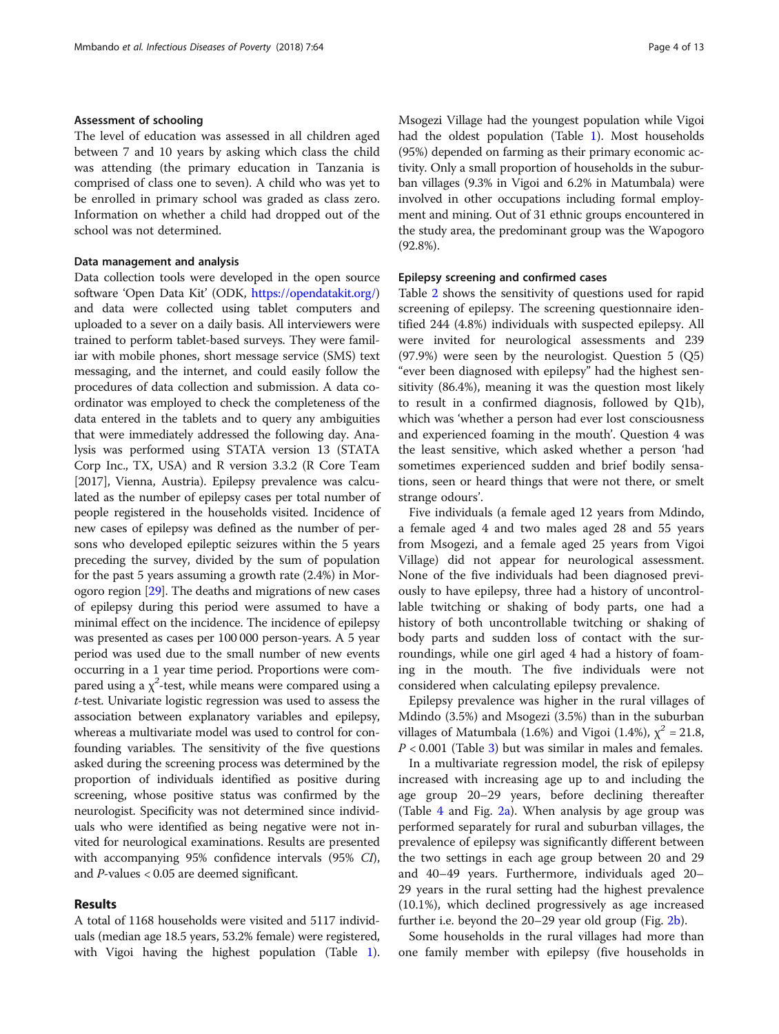# Assessment of schooling

The level of education was assessed in all children aged between 7 and 10 years by asking which class the child was attending (the primary education in Tanzania is comprised of class one to seven). A child who was yet to be enrolled in primary school was graded as class zero. Information on whether a child had dropped out of the school was not determined.

# Data management and analysis

Data collection tools were developed in the open source software 'Open Data Kit' (ODK, <https://opendatakit.org/>) and data were collected using tablet computers and uploaded to a sever on a daily basis. All interviewers were trained to perform tablet-based surveys. They were familiar with mobile phones, short message service (SMS) text messaging, and the internet, and could easily follow the procedures of data collection and submission. A data coordinator was employed to check the completeness of the data entered in the tablets and to query any ambiguities that were immediately addressed the following day. Analysis was performed using STATA version 13 (STATA Corp Inc., TX, USA) and R version 3.3.2 (R Core Team [2017], Vienna, Austria). Epilepsy prevalence was calculated as the number of epilepsy cases per total number of people registered in the households visited. Incidence of new cases of epilepsy was defined as the number of persons who developed epileptic seizures within the 5 years preceding the survey, divided by the sum of population for the past 5 years assuming a growth rate (2.4%) in Morogoro region [[29](#page-11-0)]. The deaths and migrations of new cases of epilepsy during this period were assumed to have a minimal effect on the incidence. The incidence of epilepsy was presented as cases per 100 000 person-years. A 5 year period was used due to the small number of new events occurring in a 1 year time period. Proportions were compared using a  $\chi^2$ -test, while means were compared using a t-test. Univariate logistic regression was used to assess the association between explanatory variables and epilepsy, whereas a multivariate model was used to control for confounding variables. The sensitivity of the five questions asked during the screening process was determined by the proportion of individuals identified as positive during screening, whose positive status was confirmed by the neurologist. Specificity was not determined since individuals who were identified as being negative were not invited for neurological examinations. Results are presented with accompanying 95% confidence intervals (95% CI), and P-values < 0.05 are deemed significant.

# Results

A total of 1168 households were visited and 5117 individuals (median age 18.5 years, 53.2% female) were registered, with Vigoi having the highest population (Table [1](#page-4-0)). Msogezi Village had the youngest population while Vigoi had the oldest population (Table [1](#page-4-0)). Most households (95%) depended on farming as their primary economic activity. Only a small proportion of households in the suburban villages (9.3% in Vigoi and 6.2% in Matumbala) were involved in other occupations including formal employment and mining. Out of 31 ethnic groups encountered in the study area, the predominant group was the Wapogoro (92.8%).

# Epilepsy screening and confirmed cases

Table [2](#page-4-0) shows the sensitivity of questions used for rapid screening of epilepsy. The screening questionnaire identified 244 (4.8%) individuals with suspected epilepsy. All were invited for neurological assessments and 239 (97.9%) were seen by the neurologist. Question 5 (Q5) "ever been diagnosed with epilepsy" had the highest sensitivity (86.4%), meaning it was the question most likely to result in a confirmed diagnosis, followed by Q1b), which was 'whether a person had ever lost consciousness and experienced foaming in the mouth'. Question 4 was the least sensitive, which asked whether a person 'had sometimes experienced sudden and brief bodily sensations, seen or heard things that were not there, or smelt strange odours'.

Five individuals (a female aged 12 years from Mdindo, a female aged 4 and two males aged 28 and 55 years from Msogezi, and a female aged 25 years from Vigoi Village) did not appear for neurological assessment. None of the five individuals had been diagnosed previously to have epilepsy, three had a history of uncontrollable twitching or shaking of body parts, one had a history of both uncontrollable twitching or shaking of body parts and sudden loss of contact with the surroundings, while one girl aged 4 had a history of foaming in the mouth. The five individuals were not considered when calculating epilepsy prevalence.

Epilepsy prevalence was higher in the rural villages of Mdindo (3.5%) and Msogezi (3.5%) than in the suburban villages of Matumbala (1.6%) and Vigoi (1.4%),  $\chi^2 = 21.8$ ,  $P < 0.001$  (Table [3](#page-5-0)) but was similar in males and females.

In a multivariate regression model, the risk of epilepsy increased with increasing age up to and including the age group 20–29 years, before declining thereafter (Table  $4$  and Fig.  $2a$ ). When analysis by age group was performed separately for rural and suburban villages, the prevalence of epilepsy was significantly different between the two settings in each age group between 20 and 29 and 40–49 years. Furthermore, individuals aged 20– 29 years in the rural setting had the highest prevalence (10.1%), which declined progressively as age increased further i.e. beyond the 20–29 year old group (Fig. [2b](#page-6-0)).

Some households in the rural villages had more than one family member with epilepsy (five households in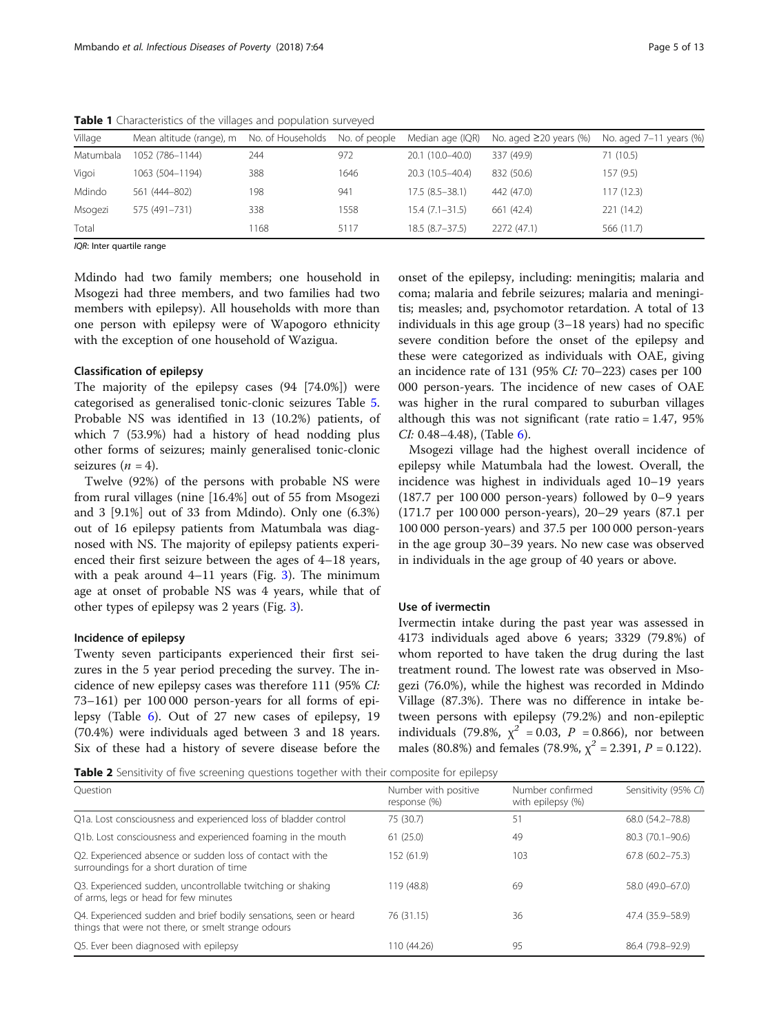| Village   | Mean altitude (range), m | No. of Households | No. of people | Median age (IQR) | No. aged $\geq$ 20 years (%) | No. aged 7-11 years (%) |
|-----------|--------------------------|-------------------|---------------|------------------|------------------------------|-------------------------|
| Matumbala | 1052 (786-1144)          | 244               | 972           | 20.1 (10.0-40.0) | 337 (49.9)                   | 71(10.5)                |
| Vigoi     | 1063 (504-1194)          | 388               | 1646          | 20.3 (10.5-40.4) | 832 (50.6)                   | 157 (9.5)               |
| Mdindo    | 561 (444-802)            | 198               | 941           | $17.5(8.5-38.1)$ | 442 (47.0)                   | 117 (12.3)              |
| Msogezi   | 575 (491-731)            | 338               | 1558          | $15.4(7.1-31.5)$ | 661 (42.4)                   | 221 (14.2)              |
| Total     |                          | 168               | 5117          | $18.5(8.7-37.5)$ | 2272 (47.1)                  | 566 (11.7)              |

<span id="page-4-0"></span>Table 1 Characteristics of the villages and population surveyed

IQR: Inter quartile range

Mdindo had two family members; one household in Msogezi had three members, and two families had two members with epilepsy). All households with more than one person with epilepsy were of Wapogoro ethnicity with the exception of one household of Wazigua.

## Classification of epilepsy

The majority of the epilepsy cases (94 [74.0%]) were categorised as generalised tonic-clonic seizures Table [5](#page-6-0). Probable NS was identified in 13 (10.2%) patients, of which 7 (53.9%) had a history of head nodding plus other forms of seizures; mainly generalised tonic-clonic seizures  $(n = 4)$ .

Twelve (92%) of the persons with probable NS were from rural villages (nine [16.4%] out of 55 from Msogezi and 3 [9.1%] out of 33 from Mdindo). Only one (6.3%) out of 16 epilepsy patients from Matumbala was diagnosed with NS. The majority of epilepsy patients experienced their first seizure between the ages of 4–18 years, with a peak around  $4-11$  years (Fig. [3](#page-7-0)). The minimum age at onset of probable NS was 4 years, while that of other types of epilepsy was 2 years (Fig. [3\)](#page-7-0).

# Incidence of epilepsy

Twenty seven participants experienced their first seizures in the 5 year period preceding the survey. The incidence of new epilepsy cases was therefore 111 (95% CI: 73–161) per 100 000 person-years for all forms of epilepsy (Table [6](#page-7-0)). Out of 27 new cases of epilepsy, 19 (70.4%) were individuals aged between 3 and 18 years. Six of these had a history of severe disease before the onset of the epilepsy, including: meningitis; malaria and coma; malaria and febrile seizures; malaria and meningitis; measles; and, psychomotor retardation. A total of 13 individuals in this age group (3–18 years) had no specific severe condition before the onset of the epilepsy and these were categorized as individuals with OAE, giving an incidence rate of 131 (95% CI: 70–223) cases per 100 000 person-years. The incidence of new cases of OAE was higher in the rural compared to suburban villages although this was not significant (rate ratio = 1.47, 95% CI: 0.48-4.48), (Table [6\)](#page-7-0).

Msogezi village had the highest overall incidence of epilepsy while Matumbala had the lowest. Overall, the incidence was highest in individuals aged 10–19 years (187.7 per 100 000 person-years) followed by 0–9 years (171.7 per 100 000 person-years), 20–29 years (87.1 per 100 000 person-years) and 37.5 per 100 000 person-years in the age group 30–39 years. No new case was observed in individuals in the age group of 40 years or above.

# Use of ivermectin

Ivermectin intake during the past year was assessed in 4173 individuals aged above 6 years; 3329 (79.8%) of whom reported to have taken the drug during the last treatment round. The lowest rate was observed in Msogezi (76.0%), while the highest was recorded in Mdindo Village (87.3%). There was no difference in intake between persons with epilepsy (79.2%) and non-epileptic individuals (79.8%,  $\chi^2$  = 0.03, P = 0.866), nor between males (80.8%) and females (78.9%,  $\chi^2$  = 2.391, P = 0.122).

**Table 2** Sensitivity of five screening questions together with their composite for epilepsy

| Ouestion                                                                                                                 | Number with positive<br>response (%) | Number confirmed<br>with epilepsy (%) | Sensitivity (95% CI) |
|--------------------------------------------------------------------------------------------------------------------------|--------------------------------------|---------------------------------------|----------------------|
| Q1a. Lost consciousness and experienced loss of bladder control                                                          | 75 (30.7)                            | 51                                    | 68.0 (54.2-78.8)     |
| Q1b. Lost consciousness and experienced foaming in the mouth                                                             | 61(25.0)                             | 49                                    | 80.3 (70.1-90.6)     |
| Q2. Experienced absence or sudden loss of contact with the<br>surroundings for a short duration of time                  | 152 (61.9)                           | 103                                   | $67.8(60.2 - 75.3)$  |
| Q3. Experienced sudden, uncontrollable twitching or shaking<br>of arms, legs or head for few minutes                     | 119 (48.8)                           | 69                                    | 58.0 (49.0-67.0)     |
| Q4. Experienced sudden and brief bodily sensations, seen or heard<br>things that were not there, or smelt strange odours | 76 (31.15)                           | 36                                    | 47.4 (35.9–58.9)     |
| Q5. Ever been diagnosed with epilepsy                                                                                    | 110 (44.26)                          | 95                                    | 86.4 (79.8-92.9)     |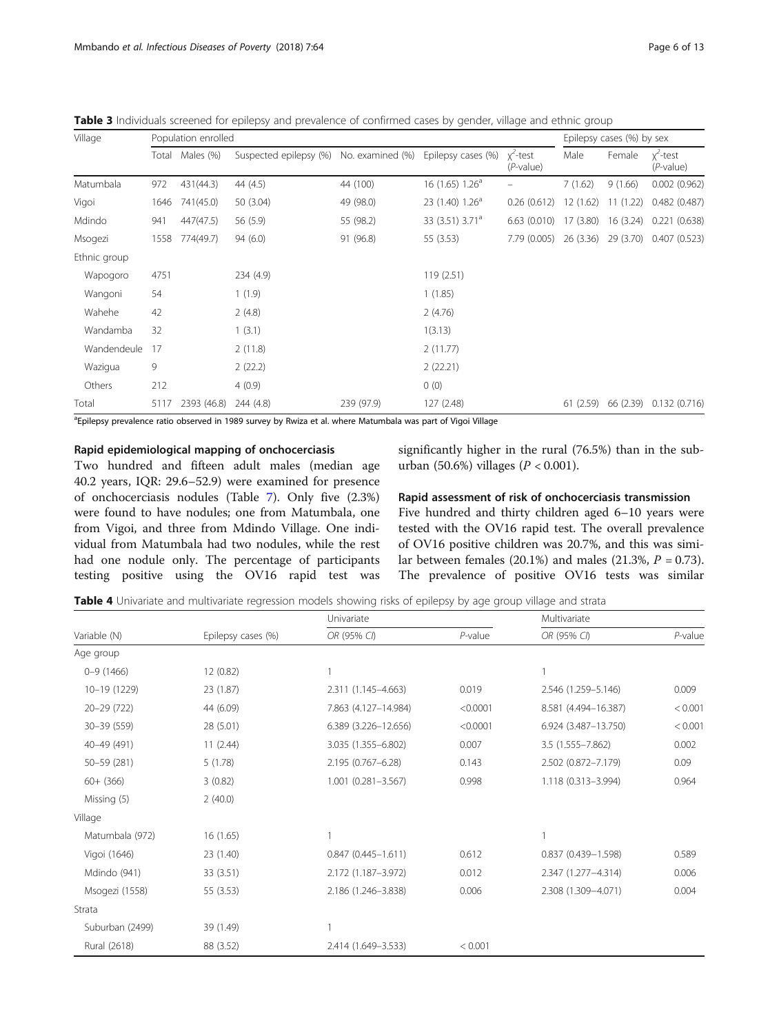| Village      |      | Population enrolled | Epilepsy cases (%) by sex |                  |                             |                             |         |           |                             |
|--------------|------|---------------------|---------------------------|------------------|-----------------------------|-----------------------------|---------|-----------|-----------------------------|
|              |      | Total Males (%)     | Suspected epilepsy (%)    | No. examined (%) | Epilepsy cases (%)          | $x^2$ -test<br>$(P$ -value) | Male    | Female    | $x^2$ -test<br>$(P$ -value) |
| Matumbala    | 972  | 431(44.3)           | 44 (4.5)                  | 44 (100)         | 16(1.65) 1.26 <sup>a</sup>  |                             | 7(1.62) | 9(1.66)   | $0.002$ $(0.962)$           |
| Vigoi        | 1646 | 741(45.0)           | 50 (3.04)                 | 49 (98.0)        | 23 (1.40) 1.26 <sup>a</sup> | $0.26(0.612)$ 12 (1.62)     |         | 11(1.22)  | 0.482 (0.487)               |
| Mdindo       | 941  | 447(47.5)           | 56 (5.9)                  | 55 (98.2)        | 33 (3.51) 3.71 <sup>a</sup> | $6.63(0.010)$ 17 (3.80)     |         | 16 (3.24) | 0.221(0.638)                |
| Msogezi      | 1558 | 774(49.7)           | 94(6.0)                   | 91 (96.8)        | 55 (3.53)                   | 7.79 (0.005) 26 (3.36)      |         | 29 (3.70) | 0.407 (0.523)               |
| Ethnic group |      |                     |                           |                  |                             |                             |         |           |                             |
| Wapogoro     | 4751 |                     | 234 (4.9)                 |                  | 119(2.51)                   |                             |         |           |                             |
| Wangoni      | 54   |                     | 1(1.9)                    |                  | 1(1.85)                     |                             |         |           |                             |
| Wahehe       | 42   |                     | 2(4.8)                    |                  | 2(4.76)                     |                             |         |           |                             |
| Wandamba     | 32   |                     | 1(3.1)                    |                  | 1(3.13)                     |                             |         |           |                             |
| Wandendeule  | 17   |                     | 2(11.8)                   |                  | 2(11.77)                    |                             |         |           |                             |
| Wazigua      | 9    |                     | 2(22.2)                   |                  | 2(22.21)                    |                             |         |           |                             |
| Others       | 212  |                     | 4(0.9)                    |                  | 0(0)                        |                             |         |           |                             |

Total 5117 2393 (46.8) 244 (4.8) 239 (97.9) 127 (2.48) 61 (2.59) 66 (2.39) 0.132 (0.716)

<span id="page-5-0"></span>Table 3 Individuals screened for epilepsy and prevalence of confirmed cases by gender, village and ethnic group

<sup>a</sup>Epilepsy prevalence ratio observed in 1989 survey by Rwiza et al. where Matumbala was part of Vigoi Village

# Rapid epidemiological mapping of onchocerciasis

Two hundred and fifteen adult males (median age 40.2 years, IQR: 29.6–52.9) were examined for presence of onchocerciasis nodules (Table [7\)](#page-8-0). Only five (2.3%) were found to have nodules; one from Matumbala, one from Vigoi, and three from Mdindo Village. One individual from Matumbala had two nodules, while the rest had one nodule only. The percentage of participants testing positive using the OV16 rapid test was significantly higher in the rural (76.5%) than in the suburban (50.6%) villages ( $P < 0.001$ ).

# Rapid assessment of risk of onchocerciasis transmission

Five hundred and thirty children aged 6–10 years were tested with the OV16 rapid test. The overall prevalence of OV16 positive children was 20.7%, and this was similar between females (20.1%) and males (21.3%,  $P = 0.73$ ). The prevalence of positive OV16 tests was similar

Table 4 Univariate and multivariate regression models showing risks of epilepsy by age group village and strata

|                 |                    | Univariate             |            | Multivariate         |            |
|-----------------|--------------------|------------------------|------------|----------------------|------------|
| Variable (N)    | Epilepsy cases (%) | OR (95% CI)            | $P$ -value | OR (95% CI)          | $P$ -value |
| Age group       |                    |                        |            |                      |            |
| $0 - 9(1466)$   | 12 (0.82)          | 1                      |            |                      |            |
| 10-19 (1229)    | 23 (1.87)          | 2.311 (1.145-4.663)    | 0.019      | 2.546 (1.259-5.146)  | 0.009      |
| 20-29 (722)     | 44 (6.09)          | 7.863 (4.127-14.984)   | < 0.0001   | 8.581 (4.494-16.387) | < 0.001    |
| 30-39 (559)     | 28 (5.01)          | 6.389 (3.226-12.656)   | < 0.0001   | 6.924 (3.487-13.750) | < 0.001    |
| 40-49 (491)     | 11(2.44)           | 3.035 (1.355-6.802)    | 0.007      | 3.5 (1.555-7.862)    | 0.002      |
| 50-59 (281)     | 5(1.78)            | 2.195 (0.767-6.28)     | 0.143      | 2.502 (0.872-7.179)  | 0.09       |
| $60 + (366)$    | 3(0.82)            | 1.001 (0.281-3.567)    | 0.998      | 1.118 (0.313-3.994)  | 0.964      |
| Missing (5)     | 2(40.0)            |                        |            |                      |            |
| Village         |                    |                        |            |                      |            |
| Matumbala (972) | 16 (1.65)          | 1                      |            |                      |            |
| Vigoi (1646)    | 23 (1.40)          | $0.847(0.445 - 1.611)$ | 0.612      | 0.837 (0.439-1.598)  | 0.589      |
| Mdindo (941)    | 33 (3.51)          | 2.172 (1.187-3.972)    | 0.012      | 2.347 (1.277-4.314)  | 0.006      |
| Msogezi (1558)  | 55 (3.53)          | 2.186 (1.246-3.838)    | 0.006      | 2.308 (1.309-4.071)  | 0.004      |
| Strata          |                    |                        |            |                      |            |
| Suburban (2499) | 39 (1.49)          | 1                      |            |                      |            |
| Rural (2618)    | 88 (3.52)          | 2.414 (1.649-3.533)    | < 0.001    |                      |            |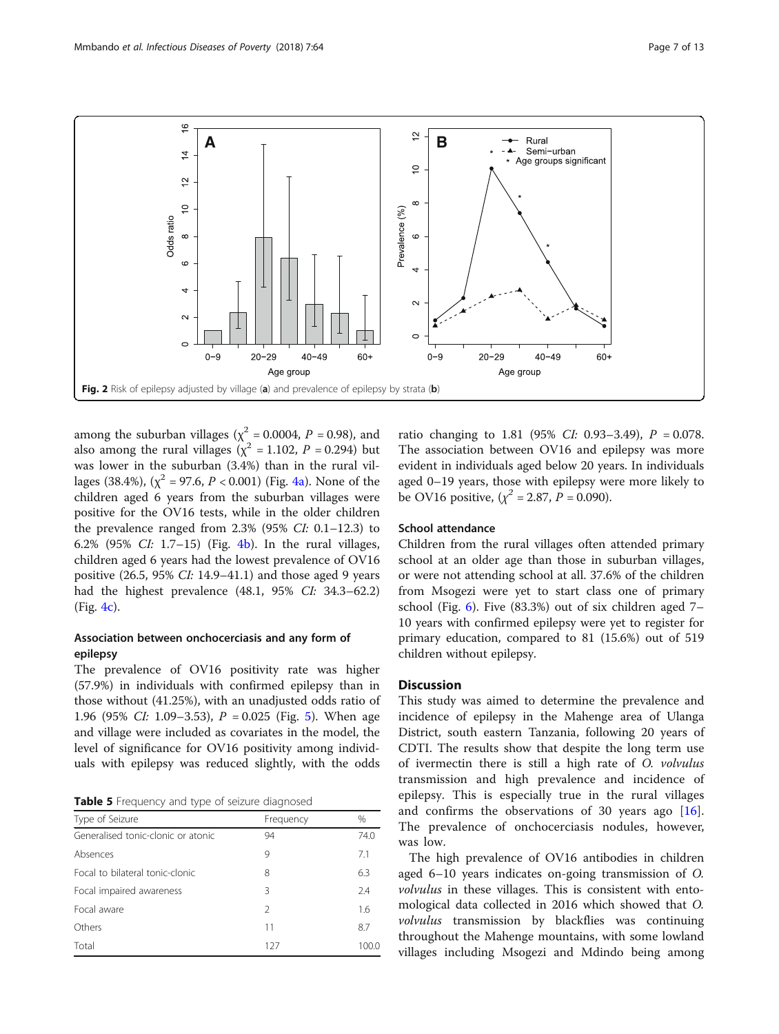<span id="page-6-0"></span>

among the suburban villages ( $\chi^2$  = 0.0004, P = 0.98), and also among the rural villages ( $\chi^2$  = 1.102, P = 0.294) but was lower in the suburban (3.4%) than in the rural villages (38.4%), ( $\chi^2$  = 97.6, P < 0.001) (Fig. [4a\)](#page-8-0). None of the children aged 6 years from the suburban villages were positive for the OV16 tests, while in the older children the prevalence ranged from  $2.3\%$  (95% CI: 0.1–12.3) to 6.2% (95% CI: 1.7–15) (Fig. [4b\)](#page-8-0). In the rural villages, children aged 6 years had the lowest prevalence of OV16 positive (26.5, 95% CI: 14.9–41.1) and those aged 9 years had the highest prevalence (48.1, 95% CI: 34.3–62.2) (Fig. [4c\)](#page-8-0).

# Association between onchocerciasis and any form of epilepsy

The prevalence of OV16 positivity rate was higher (57.9%) in individuals with confirmed epilepsy than in those without (41.25%), with an unadjusted odds ratio of 1.96 (9[5](#page-9-0)% CI: 1.09–3.53),  $P = 0.025$  (Fig. 5). When age and village were included as covariates in the model, the level of significance for OV16 positivity among individuals with epilepsy was reduced slightly, with the odds

Table 5 Frequency and type of seizure diagnosed

| Type of Seizure                    | Frequency     | $\frac{0}{0}$ |
|------------------------------------|---------------|---------------|
| Generalised tonic-clonic or atonic | 94            | 74.0          |
| Absences                           | 9             | 7.1           |
| Focal to bilateral tonic-clonic    | 8             | 6.3           |
| Focal impaired awareness           | 3             | 2.4           |
| Focal aware                        | $\mathcal{P}$ | 1.6           |
| Others                             | 11            | 8.7           |
| Total                              | 127           | 100.0         |

ratio changing to 1.81 (95% CI: 0.93-3.49),  $P = 0.078$ . The association between OV16 and epilepsy was more evident in individuals aged below 20 years. In individuals aged 0–19 years, those with epilepsy were more likely to be OV16 positive,  $(\chi^2 = 2.87, P = 0.090)$ .

# School attendance

Children from the rural villages often attended primary school at an older age than those in suburban villages, or were not attending school at all. 37.6% of the children from Msogezi were yet to start class one of primary school (Fig. [6](#page-9-0)). Five (83.3%) out of six children aged 7– 10 years with confirmed epilepsy were yet to register for primary education, compared to 81 (15.6%) out of 519 children without epilepsy.

# **Discussion**

This study was aimed to determine the prevalence and incidence of epilepsy in the Mahenge area of Ulanga District, south eastern Tanzania, following 20 years of CDTI. The results show that despite the long term use of ivermectin there is still a high rate of O. volvulus transmission and high prevalence and incidence of epilepsy. This is especially true in the rural villages and confirms the observations of 30 years ago [\[16](#page-11-0)]. The prevalence of onchocerciasis nodules, however, was low.

The high prevalence of OV16 antibodies in children aged 6–10 years indicates on-going transmission of O. volvulus in these villages. This is consistent with entomological data collected in 2016 which showed that O. volvulus transmission by blackflies was continuing throughout the Mahenge mountains, with some lowland villages including Msogezi and Mdindo being among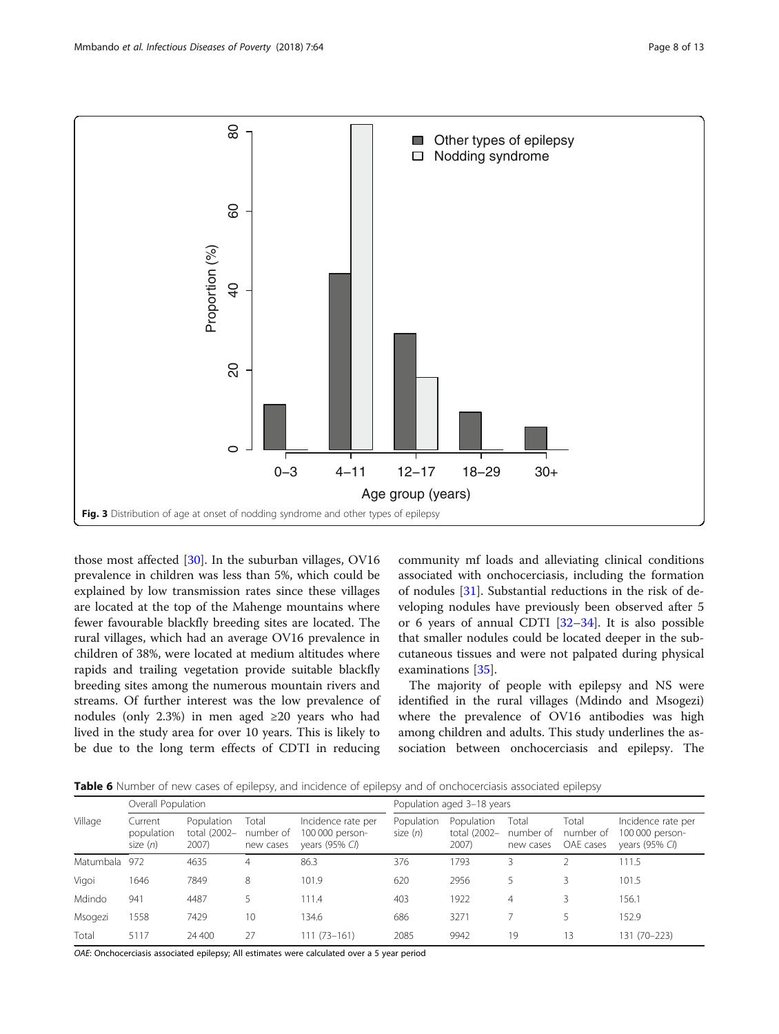<span id="page-7-0"></span>

those most affected [\[30](#page-11-0)]. In the suburban villages, OV16 prevalence in children was less than 5%, which could be explained by low transmission rates since these villages are located at the top of the Mahenge mountains where fewer favourable blackfly breeding sites are located. The rural villages, which had an average OV16 prevalence in children of 38%, were located at medium altitudes where rapids and trailing vegetation provide suitable blackfly breeding sites among the numerous mountain rivers and streams. Of further interest was the low prevalence of nodules (only 2.3%) in men aged ≥20 years who had lived in the study area for over 10 years. This is likely to be due to the long term effects of CDTI in reducing

community mf loads and alleviating clinical conditions associated with onchocerciasis, including the formation of nodules [[31](#page-11-0)]. Substantial reductions in the risk of developing nodules have previously been observed after 5 or 6 years of annual CDTI [\[32](#page-12-0)–[34](#page-12-0)]. It is also possible that smaller nodules could be located deeper in the subcutaneous tissues and were not palpated during physical examinations [\[35\]](#page-12-0).

The majority of people with epilepsy and NS were identified in the rural villages (Mdindo and Msogezi) where the prevalence of OV16 antibodies was high among children and adults. This study underlines the association between onchocerciasis and epilepsy. The

Table 6 Number of new cases of epilepsy, and incidence of epilepsy and of onchocerciasis associated epilepsy

|           |                                     |                                     | .                               |                                                         | $\sim$                     |                                     |                                 | .                               |                                                                   |
|-----------|-------------------------------------|-------------------------------------|---------------------------------|---------------------------------------------------------|----------------------------|-------------------------------------|---------------------------------|---------------------------------|-------------------------------------------------------------------|
|           | Overall Population                  |                                     |                                 |                                                         | Population aged 3-18 years |                                     |                                 |                                 |                                                                   |
| Village   | Current<br>population<br>size $(n)$ | Population<br>total (2002-<br>2007) | Total<br>number of<br>new cases | Incidence rate per<br>100 000 person-<br>years (95% CI) | Population<br>size $(n)$   | Population<br>total (2002-<br>2007) | Total<br>number of<br>new cases | Total<br>number of<br>OAE cases | Incidence rate per<br>100 000 person-<br>years $(95\% \text{ C})$ |
| Matumbala | 972                                 | 4635                                | 4                               | 86.3                                                    | 376                        | 1793                                | 3                               |                                 | 111.5                                                             |
| Vigoi     | 1646                                | 7849                                | 8                               | 101.9                                                   | 620                        | 2956                                | 5                               | 3                               | 101.5                                                             |
| Mdindo    | 941                                 | 4487                                |                                 | 111.4                                                   | 403                        | 1922                                | $\overline{4}$                  | 3                               | 156.1                                                             |
| Msogezi   | 1558                                | 7429                                | 10                              | 134.6                                                   | 686                        | 3271                                |                                 | 5                               | 152.9                                                             |
| Total     | 5117                                | 24 400                              | 27                              | $111(73 - 161)$                                         | 2085                       | 9942                                | 19                              | 13                              | 131 (70-223)                                                      |

OAE: Onchocerciasis associated epilepsy; All estimates were calculated over a 5 year period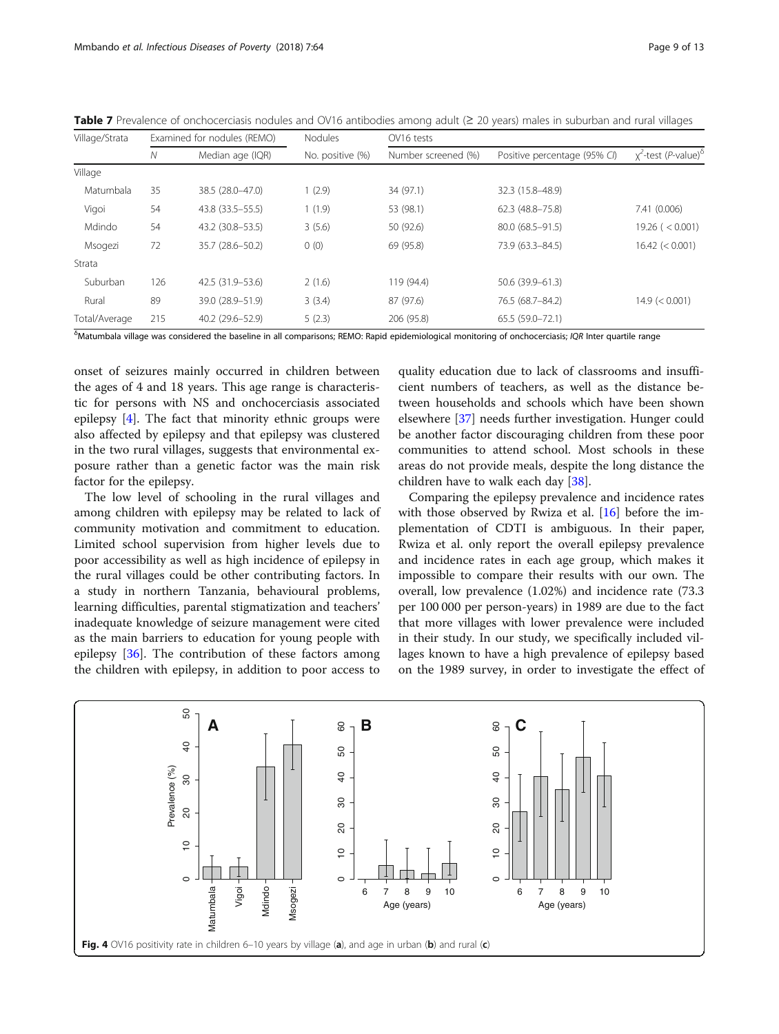| Village/Strata            | Examined for nodules (REMO)<br>Nodules<br>OV16 tests |                    |                  |                     |                              |                                       |
|---------------------------|------------------------------------------------------|--------------------|------------------|---------------------|------------------------------|---------------------------------------|
|                           | N                                                    | Median age (IQR)   | No. positive (%) | Number screened (%) | Positive percentage (95% CI) | $\chi^2$ -test (P-value) <sup>8</sup> |
| Village                   |                                                      |                    |                  |                     |                              |                                       |
| Matumbala                 | 35                                                   | 38.5 (28.0-47.0)   | 1(2.9)           | 34 (97.1)           | 32.3 (15.8-48.9)             |                                       |
| Vigoi                     | 54                                                   | 43.8 (33.5 - 55.5) | 1(1.9)           | 53 (98.1)           | 62.3 (48.8-75.8)             | 7.41 (0.006)                          |
| Mdindo                    | 54                                                   | 43.2 (30.8-53.5)   | 3(5.6)           | 50 (92.6)           | 80.0 (68.5-91.5)             | 19.26 (< 0.001)                       |
| Msogezi                   | 72                                                   | 35.7 (28.6-50.2)   | 0(0)             | 69 (95.8)           | 73.9 (63.3-84.5)             | 16.42 (< 0.001)                       |
| Strata                    |                                                      |                    |                  |                     |                              |                                       |
| Suburban                  | 126                                                  | 42.5 (31.9–53.6)   | 2(1.6)           | 119 (94.4)          | 50.6 (39.9-61.3)             |                                       |
| Rural                     | 89                                                   | 39.0 (28.9-51.9)   | 3(3.4)           | 87 (97.6)           | 76.5 (68.7-84.2)             | 14.9 (< 0.001)                        |
| Total/Average             | 215                                                  | 40.2 (29.6-52.9)   | 5(2.3)           | 206 (95.8)          | 65.5 (59.0-72.1)             |                                       |
| $\epsilon$ and $\epsilon$ |                                                      |                    |                  |                     |                              |                                       |

<span id="page-8-0"></span>Table 7 Prevalence of onchocerciasis nodules and OV16 antibodies among adult (≥ 20 years) males in suburban and rural villages

δ Matumbala village was considered the baseline in all comparisons; REMO: Rapid epidemiological monitoring of onchocerciasis; IQR Inter quartile range

onset of seizures mainly occurred in children between the ages of 4 and 18 years. This age range is characteristic for persons with NS and onchocerciasis associated epilepsy [[4](#page-11-0)]. The fact that minority ethnic groups were also affected by epilepsy and that epilepsy was clustered in the two rural villages, suggests that environmental exposure rather than a genetic factor was the main risk factor for the epilepsy.

The low level of schooling in the rural villages and among children with epilepsy may be related to lack of community motivation and commitment to education. Limited school supervision from higher levels due to poor accessibility as well as high incidence of epilepsy in the rural villages could be other contributing factors. In a study in northern Tanzania, behavioural problems, learning difficulties, parental stigmatization and teachers' inadequate knowledge of seizure management were cited as the main barriers to education for young people with epilepsy [[36\]](#page-12-0). The contribution of these factors among the children with epilepsy, in addition to poor access to

quality education due to lack of classrooms and insufficient numbers of teachers, as well as the distance between households and schools which have been shown elsewhere [[37\]](#page-12-0) needs further investigation. Hunger could be another factor discouraging children from these poor communities to attend school. Most schools in these areas do not provide meals, despite the long distance the children have to walk each day [\[38\]](#page-12-0).

Comparing the epilepsy prevalence and incidence rates with those observed by Rwiza et al. [\[16](#page-11-0)] before the implementation of CDTI is ambiguous. In their paper, Rwiza et al. only report the overall epilepsy prevalence and incidence rates in each age group, which makes it impossible to compare their results with our own. The overall, low prevalence (1.02%) and incidence rate (73.3 per 100 000 per person-years) in 1989 are due to the fact that more villages with lower prevalence were included in their study. In our study, we specifically included villages known to have a high prevalence of epilepsy based on the 1989 survey, in order to investigate the effect of

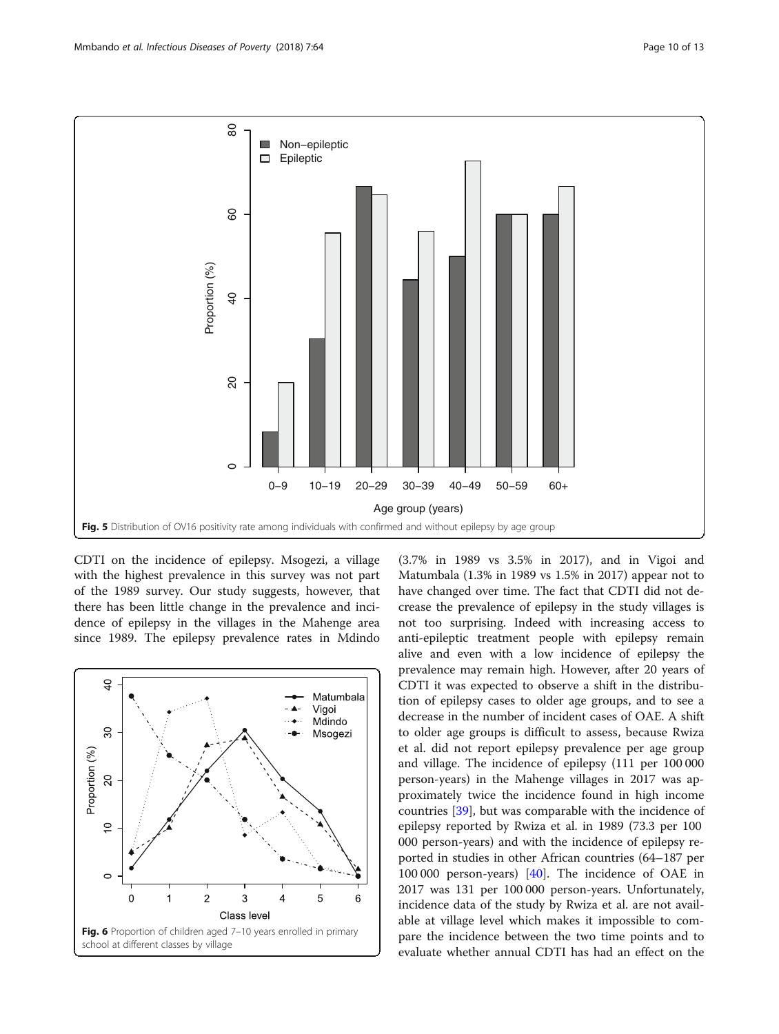<span id="page-9-0"></span>![](_page_9_Figure_2.jpeg)

CDTI on the incidence of epilepsy. Msogezi, a village with the highest prevalence in this survey was not part of the 1989 survey. Our study suggests, however, that there has been little change in the prevalence and incidence of epilepsy in the villages in the Mahenge area since 1989. The epilepsy prevalence rates in Mdindo

![](_page_9_Figure_4.jpeg)

(3.7% in 1989 vs 3.5% in 2017), and in Vigoi and Matumbala (1.3% in 1989 vs 1.5% in 2017) appear not to have changed over time. The fact that CDTI did not decrease the prevalence of epilepsy in the study villages is not too surprising. Indeed with increasing access to anti-epileptic treatment people with epilepsy remain alive and even with a low incidence of epilepsy the prevalence may remain high. However, after 20 years of CDTI it was expected to observe a shift in the distribution of epilepsy cases to older age groups, and to see a decrease in the number of incident cases of OAE. A shift to older age groups is difficult to assess, because Rwiza et al. did not report epilepsy prevalence per age group and village. The incidence of epilepsy (111 per 100 000 person-years) in the Mahenge villages in 2017 was approximately twice the incidence found in high income countries [[39\]](#page-12-0), but was comparable with the incidence of epilepsy reported by Rwiza et al. in 1989 (73.3 per 100 000 person-years) and with the incidence of epilepsy reported in studies in other African countries (64–187 per 100 000 person-years) [\[40\]](#page-12-0). The incidence of OAE in 2017 was 131 per 100 000 person-years. Unfortunately, incidence data of the study by Rwiza et al. are not available at village level which makes it impossible to compare the incidence between the two time points and to evaluate whether annual CDTI has had an effect on the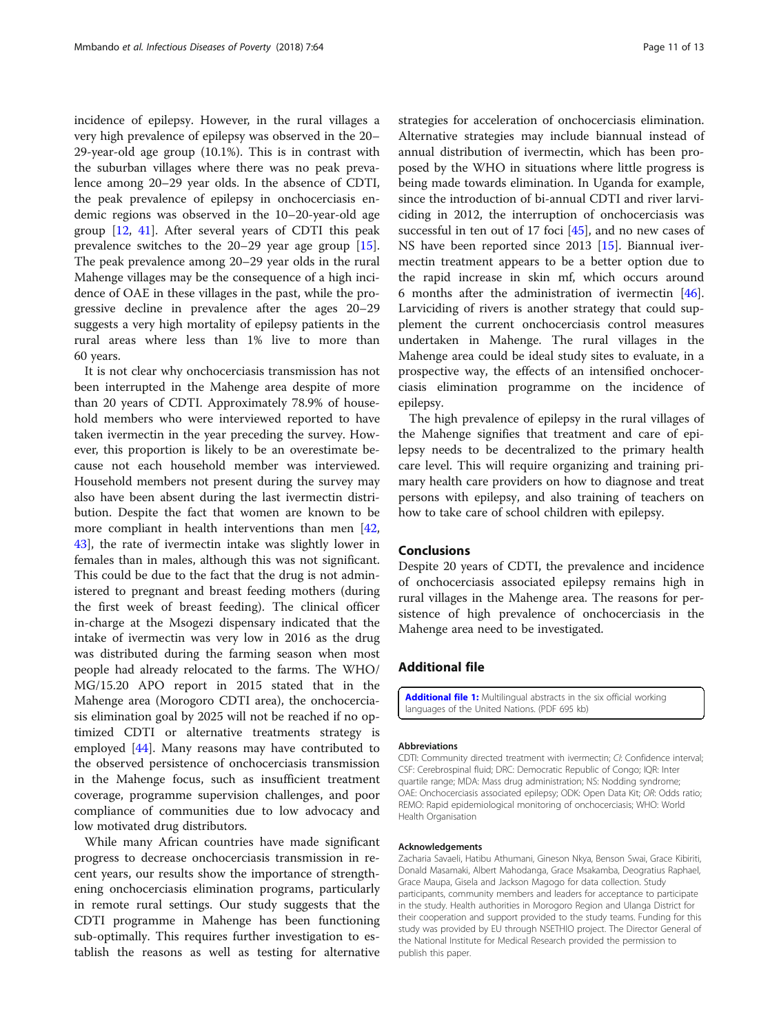<span id="page-10-0"></span>incidence of epilepsy. However, in the rural villages a very high prevalence of epilepsy was observed in the 20– 29-year-old age group (10.1%). This is in contrast with the suburban villages where there was no peak prevalence among 20–29 year olds. In the absence of CDTI, the peak prevalence of epilepsy in onchocerciasis endemic regions was observed in the 10–20-year-old age group [[12,](#page-11-0) [41\]](#page-12-0). After several years of CDTI this peak prevalence switches to the 20–29 year age group [\[15](#page-11-0)]. The peak prevalence among 20–29 year olds in the rural Mahenge villages may be the consequence of a high incidence of OAE in these villages in the past, while the progressive decline in prevalence after the ages 20–29 suggests a very high mortality of epilepsy patients in the rural areas where less than 1% live to more than 60 years.

It is not clear why onchocerciasis transmission has not been interrupted in the Mahenge area despite of more than 20 years of CDTI. Approximately 78.9% of household members who were interviewed reported to have taken ivermectin in the year preceding the survey. However, this proportion is likely to be an overestimate because not each household member was interviewed. Household members not present during the survey may also have been absent during the last ivermectin distribution. Despite the fact that women are known to be more compliant in health interventions than men [[42](#page-12-0), [43\]](#page-12-0), the rate of ivermectin intake was slightly lower in females than in males, although this was not significant. This could be due to the fact that the drug is not administered to pregnant and breast feeding mothers (during the first week of breast feeding). The clinical officer in-charge at the Msogezi dispensary indicated that the intake of ivermectin was very low in 2016 as the drug was distributed during the farming season when most people had already relocated to the farms. The WHO/ MG/15.20 APO report in 2015 stated that in the Mahenge area (Morogoro CDTI area), the onchocerciasis elimination goal by 2025 will not be reached if no optimized CDTI or alternative treatments strategy is employed [[44\]](#page-12-0). Many reasons may have contributed to the observed persistence of onchocerciasis transmission in the Mahenge focus, such as insufficient treatment coverage, programme supervision challenges, and poor compliance of communities due to low advocacy and low motivated drug distributors.

While many African countries have made significant progress to decrease onchocerciasis transmission in recent years, our results show the importance of strengthening onchocerciasis elimination programs, particularly in remote rural settings. Our study suggests that the CDTI programme in Mahenge has been functioning sub-optimally. This requires further investigation to establish the reasons as well as testing for alternative strategies for acceleration of onchocerciasis elimination. Alternative strategies may include biannual instead of annual distribution of ivermectin, which has been proposed by the WHO in situations where little progress is being made towards elimination. In Uganda for example, since the introduction of bi-annual CDTI and river larviciding in 2012, the interruption of onchocerciasis was successful in ten out of 17 foci  $[45]$ , and no new cases of NS have been reported since 2013 [\[15\]](#page-11-0). Biannual ivermectin treatment appears to be a better option due to the rapid increase in skin mf, which occurs around 6 months after the administration of ivermectin [\[46](#page-12-0)]. Larviciding of rivers is another strategy that could supplement the current onchocerciasis control measures undertaken in Mahenge. The rural villages in the Mahenge area could be ideal study sites to evaluate, in a prospective way, the effects of an intensified onchocerciasis elimination programme on the incidence of epilepsy.

The high prevalence of epilepsy in the rural villages of the Mahenge signifies that treatment and care of epilepsy needs to be decentralized to the primary health care level. This will require organizing and training primary health care providers on how to diagnose and treat persons with epilepsy, and also training of teachers on how to take care of school children with epilepsy.

# Conclusions

Despite 20 years of CDTI, the prevalence and incidence of onchocerciasis associated epilepsy remains high in rural villages in the Mahenge area. The reasons for persistence of high prevalence of onchocerciasis in the Mahenge area need to be investigated.

# Additional file

[Additional file 1:](https://doi.org/10.1186/s40249-018-0450-3) Multilingual abstracts in the six official working languages of the United Nations. (PDF 695 kb)

### Abbreviations

CDTI: Community directed treatment with ivermectin; CI: Confidence interval; CSF: Cerebrospinal fluid; DRC: Democratic Republic of Congo; IQR: Inter quartile range; MDA: Mass drug administration; NS: Nodding syndrome; OAE: Onchocerciasis associated epilepsy; ODK: Open Data Kit; OR: Odds ratio; REMO: Rapid epidemiological monitoring of onchocerciasis; WHO: World Health Organisation

## Acknowledgements

Zacharia Savaeli, Hatibu Athumani, Gineson Nkya, Benson Swai, Grace Kibiriti, Donald Masamaki, Albert Mahodanga, Grace Msakamba, Deogratius Raphael, Grace Maupa, Gisela and Jackson Magogo for data collection. Study participants, community members and leaders for acceptance to participate in the study. Health authorities in Morogoro Region and Ulanga District for their cooperation and support provided to the study teams. Funding for this study was provided by EU through NSETHIO project. The Director General of the National Institute for Medical Research provided the permission to publish this paper.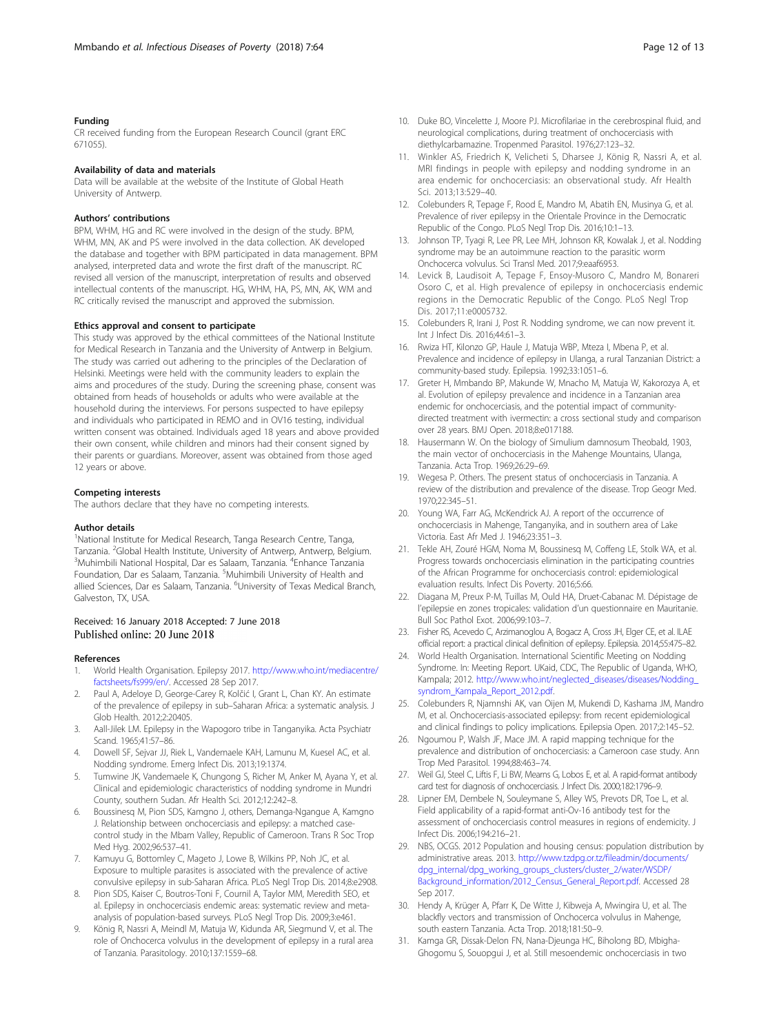## <span id="page-11-0"></span>Funding

CR received funding from the European Research Council (grant ERC 671055).

## Availability of data and materials

Data will be available at the website of the Institute of Global Heath University of Antwerp.

## Authors' contributions

BPM, WHM, HG and RC were involved in the design of the study. BPM, WHM, MN, AK and PS were involved in the data collection. AK developed the database and together with BPM participated in data management. BPM analysed, interpreted data and wrote the first draft of the manuscript. RC revised all version of the manuscript, interpretation of results and observed intellectual contents of the manuscript. HG, WHM, HA, PS, MN, AK, WM and RC critically revised the manuscript and approved the submission.

### Ethics approval and consent to participate

This study was approved by the ethical committees of the National Institute for Medical Research in Tanzania and the University of Antwerp in Belgium. The study was carried out adhering to the principles of the Declaration of Helsinki. Meetings were held with the community leaders to explain the aims and procedures of the study. During the screening phase, consent was obtained from heads of households or adults who were available at the household during the interviews. For persons suspected to have epilepsy and individuals who participated in REMO and in OV16 testing, individual written consent was obtained. Individuals aged 18 years and above provided their own consent, while children and minors had their consent signed by their parents or guardians. Moreover, assent was obtained from those aged 12 years or above.

## Competing interests

The authors declare that they have no competing interests.

## Author details

<sup>1</sup>National Institute for Medical Research, Tanga Research Centre, Tanga, Tanzania. <sup>2</sup>Global Health Institute, University of Antwerp, Antwerp, Belgium.<br><sup>3</sup>Muhimbili National Hespital, Dar es Salaam Tanzania. <sup>4</sup>Enhance Tanzania. Muhimbili National Hospital, Dar es Salaam, Tanzania. <sup>4</sup> Enhance Tanzania Foundation, Dar es Salaam, Tanzania. <sup>5</sup>Muhimbili University of Health and allied Sciences, Dar es Salaam, Tanzania. <sup>6</sup>University of Texas Medical Branch, Galveston, TX, USA.

# Received: 16 January 2018 Accepted: 7 June 2018<br>Published online: 20 June 2018

#### References

- 1. World Health Organisation. Epilepsy 2017. [http://www.who.int/mediacentre/](http://www.who.int/mediacentre/factsheets/fs999/en/) [factsheets/fs999/en/](http://www.who.int/mediacentre/factsheets/fs999/en/). Accessed 28 Sep 2017.
- 2. Paul A, Adeloye D, George-Carey R, Kolčić I, Grant L, Chan KY. An estimate of the prevalence of epilepsy in sub–Saharan Africa: a systematic analysis. J Glob Health. 2012;2:20405.
- 3. Aall-Jilek LM. Epilepsy in the Wapogoro tribe in Tanganyika. Acta Psychiatr Scand. 1965;41:57–86.
- 4. Dowell SF, Sejvar JJ, Riek L, Vandemaele KAH, Lamunu M, Kuesel AC, et al. Nodding syndrome. Emerg Infect Dis. 2013;19:1374.
- Tumwine JK, Vandemaele K, Chungong S, Richer M, Anker M, Ayana Y, et al. Clinical and epidemiologic characteristics of nodding syndrome in Mundri County, southern Sudan. Afr Health Sci. 2012;12:242–8.
- 6. Boussinesq M, Pion SDS, Kamgno J, others, Demanga-Ngangue A, Kamgno J. Relationship between onchocerciasis and epilepsy: a matched casecontrol study in the Mbam Valley, Republic of Cameroon. Trans R Soc Trop Med Hyg. 2002;96:537–41.
- 7. Kamuyu G, Bottomley C, Mageto J, Lowe B, Wilkins PP, Noh JC, et al. Exposure to multiple parasites is associated with the prevalence of active convulsive epilepsy in sub-Saharan Africa. PLoS Negl Trop Dis. 2014;8:e2908.
- 8. Pion SDS, Kaiser C, Boutros-Toni F, Cournil A, Taylor MM, Meredith SEO, et al. Epilepsy in onchocerciasis endemic areas: systematic review and metaanalysis of population-based surveys. PLoS Negl Trop Dis. 2009;3:e461.
- 9. König R, Nassri A, Meindl M, Matuja W, Kidunda AR, Siegmund V, et al. The role of Onchocerca volvulus in the development of epilepsy in a rural area of Tanzania. Parasitology. 2010;137:1559–68.
- 10. Duke BO, Vincelette J, Moore PJ. Microfilariae in the cerebrospinal fluid, and neurological complications, during treatment of onchocerciasis with diethylcarbamazine. Tropenmed Parasitol. 1976;27:123–32.
- 11. Winkler AS, Friedrich K, Velicheti S, Dharsee J, König R, Nassri A, et al. MRI findings in people with epilepsy and nodding syndrome in an area endemic for onchocerciasis: an observational study. Afr Health Sci. 2013;13:529–40.
- 12. Colebunders R, Tepage F, Rood E, Mandro M, Abatih EN, Musinya G, et al. Prevalence of river epilepsy in the Orientale Province in the Democratic Republic of the Congo. PLoS Negl Trop Dis. 2016;10:1–13.
- 13. Johnson TP, Tyagi R, Lee PR, Lee MH, Johnson KR, Kowalak J, et al. Nodding syndrome may be an autoimmune reaction to the parasitic worm Onchocerca volvulus. Sci Transl Med. 2017;9:eaaf6953.
- 14. Levick B, Laudisoit A, Tepage F, Ensoy-Musoro C, Mandro M, Bonareri Osoro C, et al. High prevalence of epilepsy in onchocerciasis endemic regions in the Democratic Republic of the Congo. PLoS Negl Trop Dis. 2017;11:e0005732.
- 15. Colebunders R, Irani J, Post R. Nodding syndrome, we can now prevent it. Int J Infect Dis. 2016;44:61–3.
- 16. Rwiza HT, Kilonzo GP, Haule J, Matuja WBP, Mteza I, Mbena P, et al. Prevalence and incidence of epilepsy in Ulanga, a rural Tanzanian District: a community-based study. Epilepsia. 1992;33:1051–6.
- 17. Greter H, Mmbando BP, Makunde W, Mnacho M, Matuja W, Kakorozya A, et al. Evolution of epilepsy prevalence and incidence in a Tanzanian area endemic for onchocerciasis, and the potential impact of communitydirected treatment with ivermectin: a cross sectional study and comparison over 28 years. BMJ Open. 2018;8:e017188.
- 18. Hausermann W. On the biology of Simulium damnosum Theobald, 1903, the main vector of onchocerciasis in the Mahenge Mountains, Ulanga, Tanzania. Acta Trop. 1969;26:29–69.
- 19. Wegesa P. Others. The present status of onchocerciasis in Tanzania. A review of the distribution and prevalence of the disease. Trop Geogr Med. 1970;22:345–51.
- 20. Young WA, Farr AG, McKendrick AJ. A report of the occurrence of onchocerciasis in Mahenge, Tanganyika, and in southern area of Lake Victoria. East Afr Med J. 1946;23:351–3.
- 21. Tekle AH, Zouré HGM, Noma M, Boussinesq M, Coffeng LE, Stolk WA, et al. Progress towards onchocerciasis elimination in the participating countries of the African Programme for onchocerciasis control: epidemiological evaluation results. Infect Dis Poverty. 2016;5:66.
- 22. Diagana M, Preux P-M, Tuillas M, Ould HA, Druet-Cabanac M. Dépistage de l'epilepsie en zones tropicales: validation d'un questionnaire en Mauritanie. Bull Soc Pathol Exot. 2006;99:103–7.
- 23. Fisher RS, Acevedo C, Arzimanoglou A, Bogacz A, Cross JH, Elger CE, et al. ILAE official report: a practical clinical definition of epilepsy. Epilepsia. 2014;55:475–82.
- 24. World Health Organisation. International Scientific Meeting on Nodding Syndrome. In: Meeting Report. UKaid, CDC, The Republic of Uganda, WHO, Kampala; 2012. [http://www.who.int/neglected\\_diseases/diseases/Nodding\\_](http://www.who.int/neglected_diseases/diseases/Nodding_syndrom_Kampala_Report_2012.pdf) [syndrom\\_Kampala\\_Report\\_2012.pdf.](http://www.who.int/neglected_diseases/diseases/Nodding_syndrom_Kampala_Report_2012.pdf)
- 25. Colebunders R, Njamnshi AK, van Oijen M, Mukendi D, Kashama JM, Mandro M, et al. Onchocerciasis-associated epilepsy: from recent epidemiological and clinical findings to policy implications. Epilepsia Open. 2017;2:145–52.
- 26. Ngoumou P, Walsh JF, Mace JM. A rapid mapping technique for the prevalence and distribution of onchocerciasis: a Cameroon case study. Ann Trop Med Parasitol. 1994;88:463–74.
- 27. Weil GJ, Steel C, Liftis F, Li BW, Mearns G, Lobos E, et al. A rapid-format antibody card test for diagnosis of onchocerciasis. J Infect Dis. 2000;182:1796–9.
- 28. Lipner EM, Dembele N, Souleymane S, Alley WS, Prevots DR, Toe L, et al. Field applicability of a rapid-format anti-Ov-16 antibody test for the assessment of onchocerciasis control measures in regions of endemicity. J Infect Dis. 2006;194:216–21.
- 29. NBS, OCGS. 2012 Population and housing census: population distribution by administrative areas. 2013. [http://www.tzdpg.or.tz/fileadmin/documents/](http://www.tzdpg.or.tz/fileadmin/documents/dpg_internal/dpg_working_groups_clusters/cluster_2/water/WSDP/Background_information/2012_Census_General_Report.pdf) [dpg\\_internal/dpg\\_working\\_groups\\_clusters/cluster\\_2/water/WSDP/](http://www.tzdpg.or.tz/fileadmin/documents/dpg_internal/dpg_working_groups_clusters/cluster_2/water/WSDP/Background_information/2012_Census_General_Report.pdf) [Background\\_information/2012\\_Census\\_General\\_Report.pdf.](http://www.tzdpg.or.tz/fileadmin/documents/dpg_internal/dpg_working_groups_clusters/cluster_2/water/WSDP/Background_information/2012_Census_General_Report.pdf) Accessed 28 Sep 2017.
- 30. Hendy A, Krüger A, Pfarr K, De Witte J, Kibweja A, Mwingira U, et al. The blackfly vectors and transmission of Onchocerca volvulus in Mahenge, south eastern Tanzania. Acta Trop. 2018;181:50–9.
- 31. Kamga GR, Dissak-Delon FN, Nana-Djeunga HC, Biholong BD, Mbigha-Ghogomu S, Souopgui J, et al. Still mesoendemic onchocerciasis in two